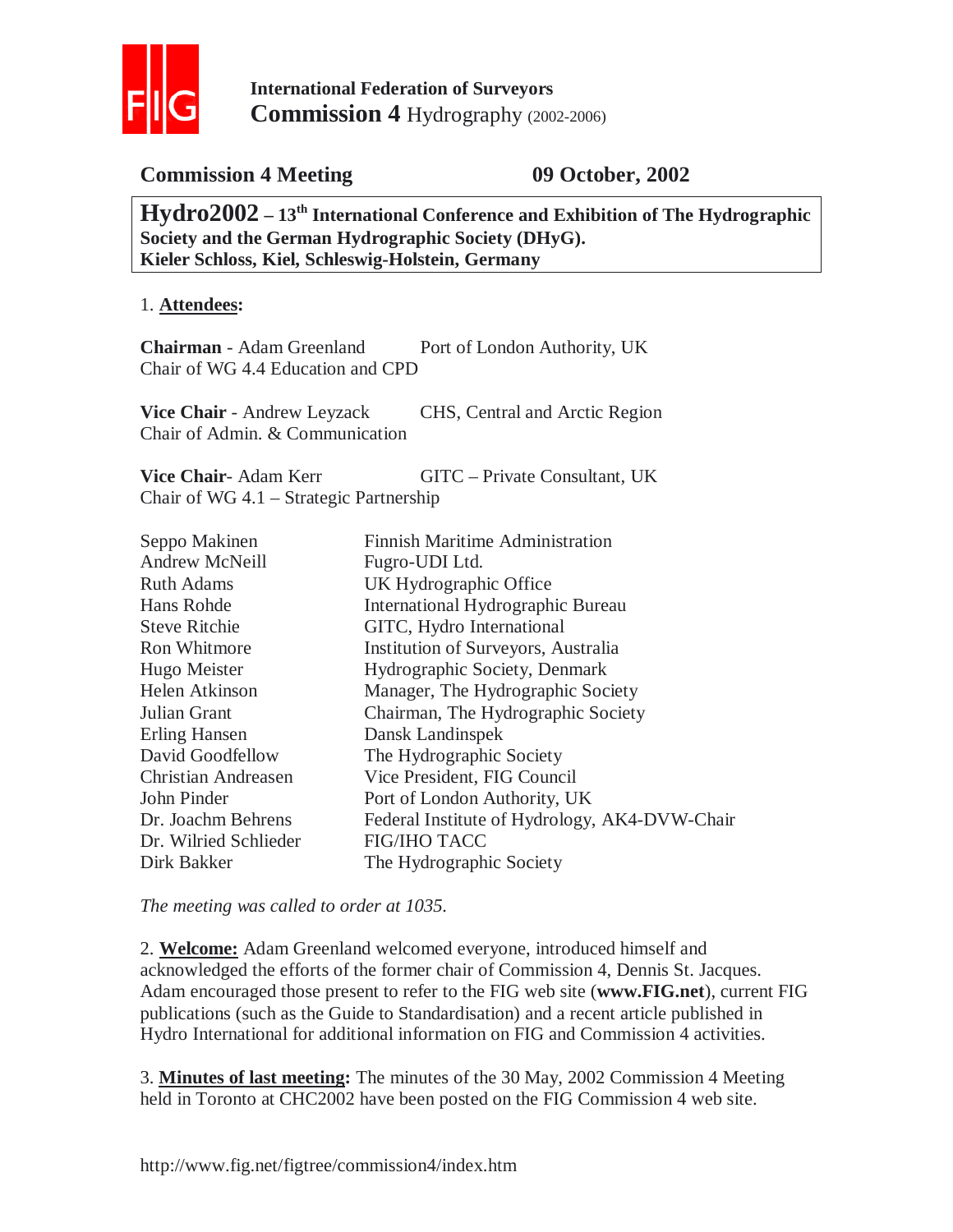

## **Commission 4 Meeting 09 October, 2002**

**Hydro2002 – 13th International Conference and Exhibition of The Hydrographic Society and the German Hydrographic Society (DHyG). Kieler Schloss, Kiel, Schleswig-Holstein, Germany** 

#### 1. **Attendees:**

**Chairman** - Adam Greenland Port of London Authority, UK Chair of WG 4.4 Education and CPD

**Vice Chair** - Andrew Leyzack CHS, Central and Arctic Region Chair of Admin. & Communication

**Vice Chair-** Adam Kerr GITC – Private Consultant, UK Chair of WG 4.1 – Strategic Partnership

| Seppo Makinen              | Finnish Maritime Administration               |
|----------------------------|-----------------------------------------------|
| <b>Andrew McNeill</b>      | Fugro-UDI Ltd.                                |
| <b>Ruth Adams</b>          | UK Hydrographic Office                        |
| Hans Rohde                 | <b>International Hydrographic Bureau</b>      |
| <b>Steve Ritchie</b>       | GITC, Hydro International                     |
| <b>Ron Whitmore</b>        | Institution of Surveyors, Australia           |
| Hugo Meister               | Hydrographic Society, Denmark                 |
| Helen Atkinson             | Manager, The Hydrographic Society             |
| Julian Grant               | Chairman, The Hydrographic Society            |
| Erling Hansen              | Dansk Landinspek                              |
| David Goodfellow           | The Hydrographic Society                      |
| <b>Christian Andreasen</b> | Vice President, FIG Council                   |
| John Pinder                | Port of London Authority, UK                  |
| Dr. Joachm Behrens         | Federal Institute of Hydrology, AK4-DVW-Chair |
| Dr. Wilried Schlieder      | <b>FIG/IHO TACC</b>                           |
| Dirk Bakker                | The Hydrographic Society                      |

*The meeting was called to order at 1035.*

2. **Welcome:** Adam Greenland welcomed everyone, introduced himself and acknowledged the efforts of the former chair of Commission 4, Dennis St. Jacques. Adam encouraged those present to refer to the FIG web site (**www.FIG.net**), current FIG publications (such as the Guide to Standardisation) and a recent article published in Hydro International for additional information on FIG and Commission 4 activities.

3. **Minutes of last meeting:** The minutes of the 30 May, 2002 Commission 4 Meeting held in Toronto at CHC2002 have been posted on the FIG Commission 4 web site.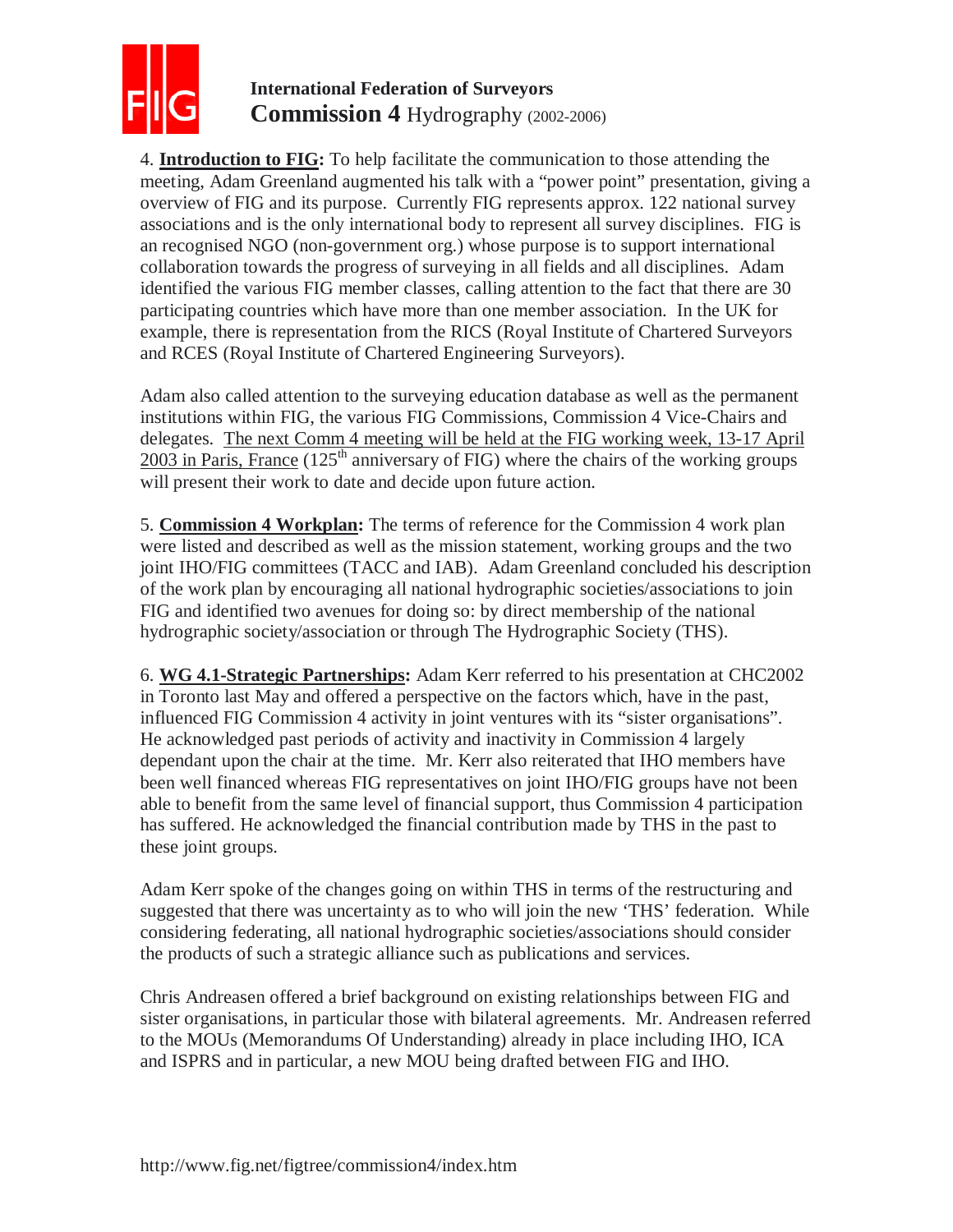

4. **Introduction to FIG:** To help facilitate the communication to those attending the meeting, Adam Greenland augmented his talk with a "power point" presentation, giving a overview of FIG and its purpose. Currently FIG represents approx. 122 national survey associations and is the only international body to represent all survey disciplines. FIG is an recognised NGO (non-government org.) whose purpose is to support international collaboration towards the progress of surveying in all fields and all disciplines. Adam identified the various FIG member classes, calling attention to the fact that there are 30 participating countries which have more than one member association. In the UK for example, there is representation from the RICS (Royal Institute of Chartered Surveyors and RCES (Royal Institute of Chartered Engineering Surveyors).

Adam also called attention to the surveying education database as well as the permanent institutions within FIG, the various FIG Commissions, Commission 4 Vice-Chairs and delegates. The next Comm 4 meeting will be held at the FIG working week, 13-17 April  $2003$  in Paris, France (125<sup>th</sup> anniversary of FIG) where the chairs of the working groups will present their work to date and decide upon future action.

5. **Commission 4 Workplan:** The terms of reference for the Commission 4 work plan were listed and described as well as the mission statement, working groups and the two joint IHO/FIG committees (TACC and IAB). Adam Greenland concluded his description of the work plan by encouraging all national hydrographic societies/associations to join FIG and identified two avenues for doing so: by direct membership of the national hydrographic society/association or through The Hydrographic Society (THS).

6. **WG 4.1-Strategic Partnerships:** Adam Kerr referred to his presentation at CHC2002 in Toronto last May and offered a perspective on the factors which, have in the past, influenced FIG Commission 4 activity in joint ventures with its "sister organisations". He acknowledged past periods of activity and inactivity in Commission 4 largely dependant upon the chair at the time. Mr. Kerr also reiterated that IHO members have been well financed whereas FIG representatives on joint IHO/FIG groups have not been able to benefit from the same level of financial support, thus Commission 4 participation has suffered. He acknowledged the financial contribution made by THS in the past to these joint groups.

Adam Kerr spoke of the changes going on within THS in terms of the restructuring and suggested that there was uncertainty as to who will join the new 'THS' federation. While considering federating, all national hydrographic societies/associations should consider the products of such a strategic alliance such as publications and services.

Chris Andreasen offered a brief background on existing relationships between FIG and sister organisations, in particular those with bilateral agreements. Mr. Andreasen referred to the MOUs (Memorandums Of Understanding) already in place including IHO, ICA and ISPRS and in particular, a new MOU being drafted between FIG and IHO.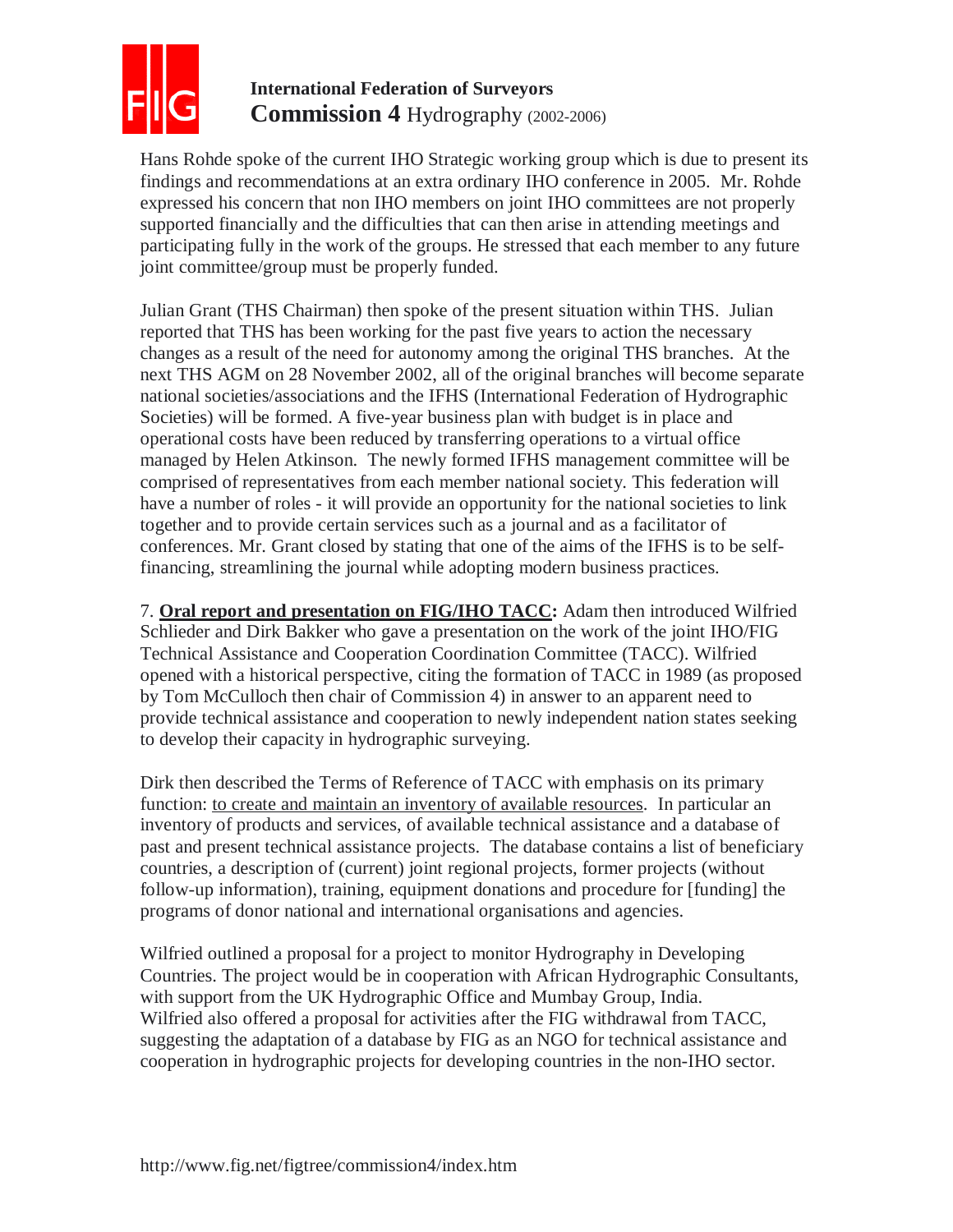

Hans Rohde spoke of the current IHO Strategic working group which is due to present its findings and recommendations at an extra ordinary IHO conference in 2005. Mr. Rohde expressed his concern that non IHO members on joint IHO committees are not properly supported financially and the difficulties that can then arise in attending meetings and participating fully in the work of the groups. He stressed that each member to any future joint committee/group must be properly funded.

Julian Grant (THS Chairman) then spoke of the present situation within THS. Julian reported that THS has been working for the past five years to action the necessary changes as a result of the need for autonomy among the original THS branches. At the next THS AGM on 28 November 2002, all of the original branches will become separate national societies/associations and the IFHS (International Federation of Hydrographic Societies) will be formed. A five-year business plan with budget is in place and operational costs have been reduced by transferring operations to a virtual office managed by Helen Atkinson. The newly formed IFHS management committee will be comprised of representatives from each member national society. This federation will have a number of roles - it will provide an opportunity for the national societies to link together and to provide certain services such as a journal and as a facilitator of conferences. Mr. Grant closed by stating that one of the aims of the IFHS is to be selffinancing, streamlining the journal while adopting modern business practices.

7. **Oral report and presentation on FIG/IHO TACC:** Adam then introduced Wilfried Schlieder and Dirk Bakker who gave a presentation on the work of the joint IHO/FIG Technical Assistance and Cooperation Coordination Committee (TACC). Wilfried opened with a historical perspective, citing the formation of TACC in 1989 (as proposed by Tom McCulloch then chair of Commission 4) in answer to an apparent need to provide technical assistance and cooperation to newly independent nation states seeking to develop their capacity in hydrographic surveying.

Dirk then described the Terms of Reference of TACC with emphasis on its primary function: to create and maintain an inventory of available resources. In particular an inventory of products and services, of available technical assistance and a database of past and present technical assistance projects. The database contains a list of beneficiary countries, a description of (current) joint regional projects, former projects (without follow-up information), training, equipment donations and procedure for [funding] the programs of donor national and international organisations and agencies.

Wilfried outlined a proposal for a project to monitor Hydrography in Developing Countries. The project would be in cooperation with African Hydrographic Consultants, with support from the UK Hydrographic Office and Mumbay Group, India. Wilfried also offered a proposal for activities after the FIG withdrawal from TACC, suggesting the adaptation of a database by FIG as an NGO for technical assistance and cooperation in hydrographic projects for developing countries in the non-IHO sector.